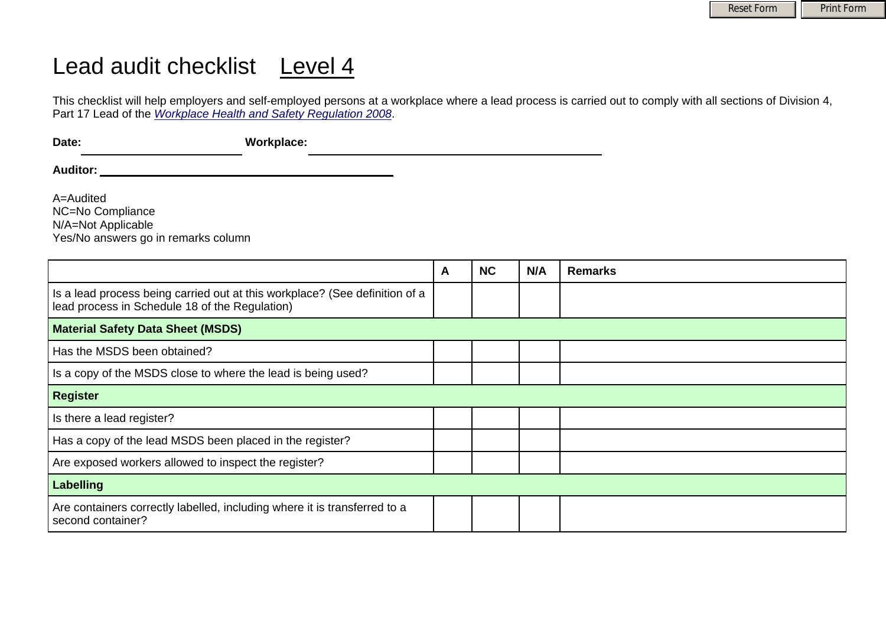## Lead audit checklist Level 4

This checklist will help employers and self-employed persons at a workplace where a lead process is carried out to comply with all sections of Division 4, Part 17 Lead of the *[Workplace Health and Safety Regulation 2008](http://www.deir.qld.gov.au/workplace/law/legislation/regulation/index.htm)*.

| Date:    | <b>Workplace:</b> |
|----------|-------------------|
| Auditor: |                   |
|          |                   |

A=Audited NC=No Compliance N/A=Not Applicable Yes/No answers go in remarks column

|                                                                                                                               | A | <b>NC</b> | N/A | <b>Remarks</b> |
|-------------------------------------------------------------------------------------------------------------------------------|---|-----------|-----|----------------|
| Is a lead process being carried out at this workplace? (See definition of a<br>lead process in Schedule 18 of the Regulation) |   |           |     |                |
| <b>Material Safety Data Sheet (MSDS)</b>                                                                                      |   |           |     |                |
| Has the MSDS been obtained?                                                                                                   |   |           |     |                |
| Is a copy of the MSDS close to where the lead is being used?                                                                  |   |           |     |                |
| <b>Register</b>                                                                                                               |   |           |     |                |
| Is there a lead register?                                                                                                     |   |           |     |                |
| Has a copy of the lead MSDS been placed in the register?                                                                      |   |           |     |                |
| Are exposed workers allowed to inspect the register?                                                                          |   |           |     |                |
| <b>Labelling</b>                                                                                                              |   |           |     |                |
| Are containers correctly labelled, including where it is transferred to a<br>second container?                                |   |           |     |                |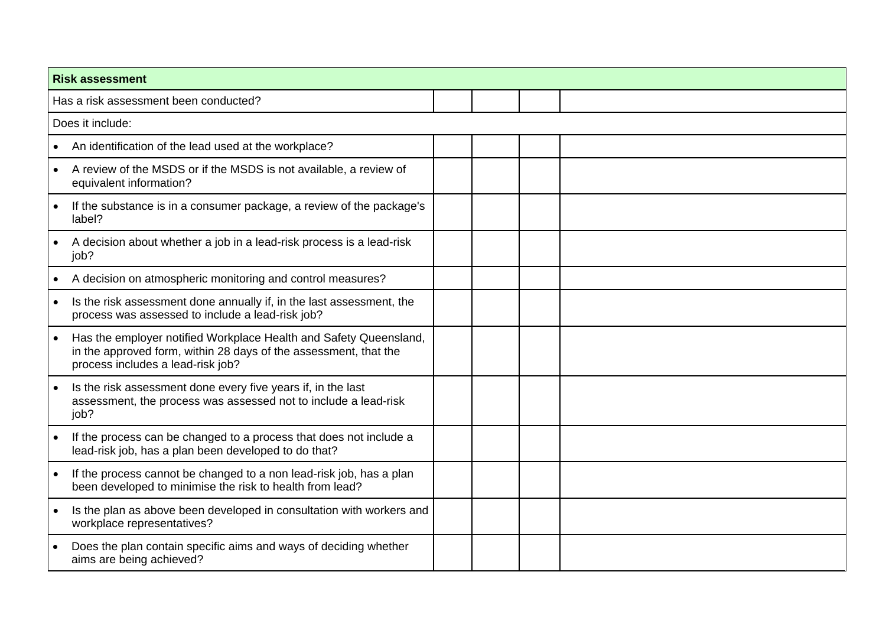| <b>Risk assessment</b>                                                                                                                                                     |  |  |  |  |
|----------------------------------------------------------------------------------------------------------------------------------------------------------------------------|--|--|--|--|
| Has a risk assessment been conducted?                                                                                                                                      |  |  |  |  |
| Does it include:                                                                                                                                                           |  |  |  |  |
| An identification of the lead used at the workplace?                                                                                                                       |  |  |  |  |
| A review of the MSDS or if the MSDS is not available, a review of<br>$\bullet$<br>equivalent information?                                                                  |  |  |  |  |
| If the substance is in a consumer package, a review of the package's<br>label?                                                                                             |  |  |  |  |
| A decision about whether a job in a lead-risk process is a lead-risk<br>job?                                                                                               |  |  |  |  |
| A decision on atmospheric monitoring and control measures?                                                                                                                 |  |  |  |  |
| Is the risk assessment done annually if, in the last assessment, the<br>process was assessed to include a lead-risk job?                                                   |  |  |  |  |
| Has the employer notified Workplace Health and Safety Queensland,<br>in the approved form, within 28 days of the assessment, that the<br>process includes a lead-risk job? |  |  |  |  |
| Is the risk assessment done every five years if, in the last<br>assessment, the process was assessed not to include a lead-risk<br>job?                                    |  |  |  |  |
| If the process can be changed to a process that does not include a<br>$\bullet$<br>lead-risk job, has a plan been developed to do that?                                    |  |  |  |  |
| If the process cannot be changed to a non lead-risk job, has a plan<br>$\bullet$<br>been developed to minimise the risk to health from lead?                               |  |  |  |  |
| Is the plan as above been developed in consultation with workers and<br>workplace representatives?                                                                         |  |  |  |  |
| Does the plan contain specific aims and ways of deciding whether<br>aims are being achieved?                                                                               |  |  |  |  |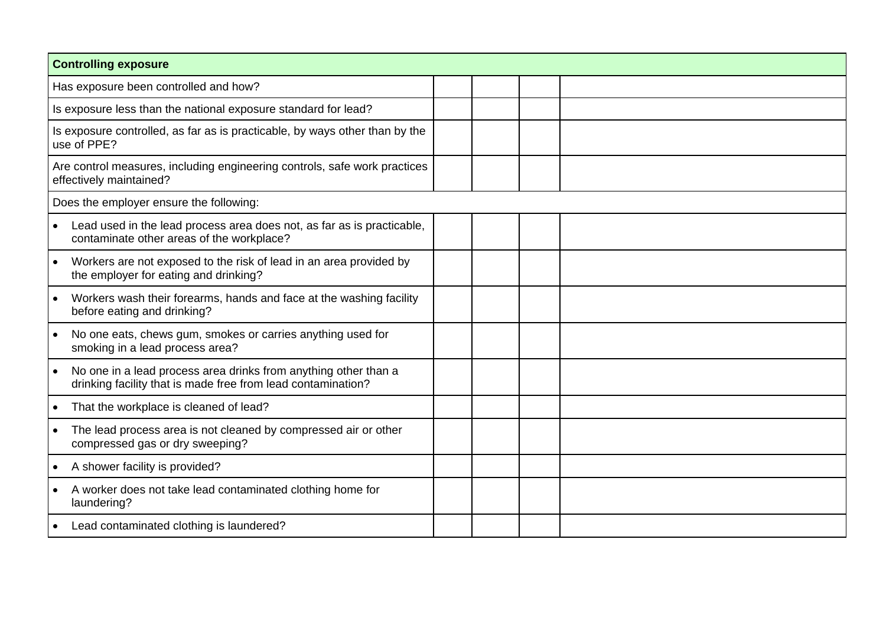| <b>Controlling exposure</b>                                                                                                     |  |  |
|---------------------------------------------------------------------------------------------------------------------------------|--|--|
| Has exposure been controlled and how?                                                                                           |  |  |
| Is exposure less than the national exposure standard for lead?                                                                  |  |  |
| Is exposure controlled, as far as is practicable, by ways other than by the<br>use of PPE?                                      |  |  |
| Are control measures, including engineering controls, safe work practices<br>effectively maintained?                            |  |  |
| Does the employer ensure the following:                                                                                         |  |  |
| Lead used in the lead process area does not, as far as is practicable,<br>contaminate other areas of the workplace?             |  |  |
| Workers are not exposed to the risk of lead in an area provided by<br>the employer for eating and drinking?                     |  |  |
| Workers wash their forearms, hands and face at the washing facility<br>before eating and drinking?                              |  |  |
| No one eats, chews gum, smokes or carries anything used for<br>smoking in a lead process area?                                  |  |  |
| No one in a lead process area drinks from anything other than a<br>drinking facility that is made free from lead contamination? |  |  |
| That the workplace is cleaned of lead?<br>$\bullet$                                                                             |  |  |
| The lead process area is not cleaned by compressed air or other<br>compressed gas or dry sweeping?                              |  |  |
| A shower facility is provided?                                                                                                  |  |  |
| A worker does not take lead contaminated clothing home for<br>laundering?                                                       |  |  |
| Lead contaminated clothing is laundered?<br>$\bullet$                                                                           |  |  |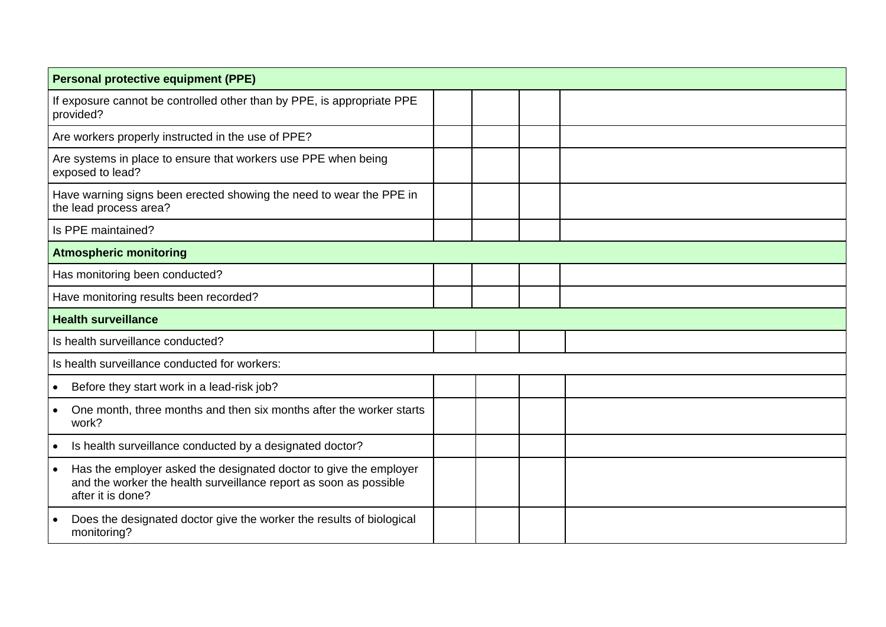| <b>Personal protective equipment (PPE)</b>                                                                                                                               |  |  |  |  |
|--------------------------------------------------------------------------------------------------------------------------------------------------------------------------|--|--|--|--|
| If exposure cannot be controlled other than by PPE, is appropriate PPE<br>provided?                                                                                      |  |  |  |  |
| Are workers properly instructed in the use of PPE?                                                                                                                       |  |  |  |  |
| Are systems in place to ensure that workers use PPE when being<br>exposed to lead?                                                                                       |  |  |  |  |
| Have warning signs been erected showing the need to wear the PPE in<br>the lead process area?                                                                            |  |  |  |  |
| Is PPE maintained?                                                                                                                                                       |  |  |  |  |
| <b>Atmospheric monitoring</b>                                                                                                                                            |  |  |  |  |
| Has monitoring been conducted?                                                                                                                                           |  |  |  |  |
| Have monitoring results been recorded?                                                                                                                                   |  |  |  |  |
| <b>Health surveillance</b>                                                                                                                                               |  |  |  |  |
| Is health surveillance conducted?                                                                                                                                        |  |  |  |  |
| Is health surveillance conducted for workers:                                                                                                                            |  |  |  |  |
| Before they start work in a lead-risk job?<br>$\bullet$                                                                                                                  |  |  |  |  |
| One month, three months and then six months after the worker starts<br>work?                                                                                             |  |  |  |  |
| Is health surveillance conducted by a designated doctor?                                                                                                                 |  |  |  |  |
| Has the employer asked the designated doctor to give the employer<br>$\bullet$<br>and the worker the health surveillance report as soon as possible<br>after it is done? |  |  |  |  |
| Does the designated doctor give the worker the results of biological<br>monitoring?                                                                                      |  |  |  |  |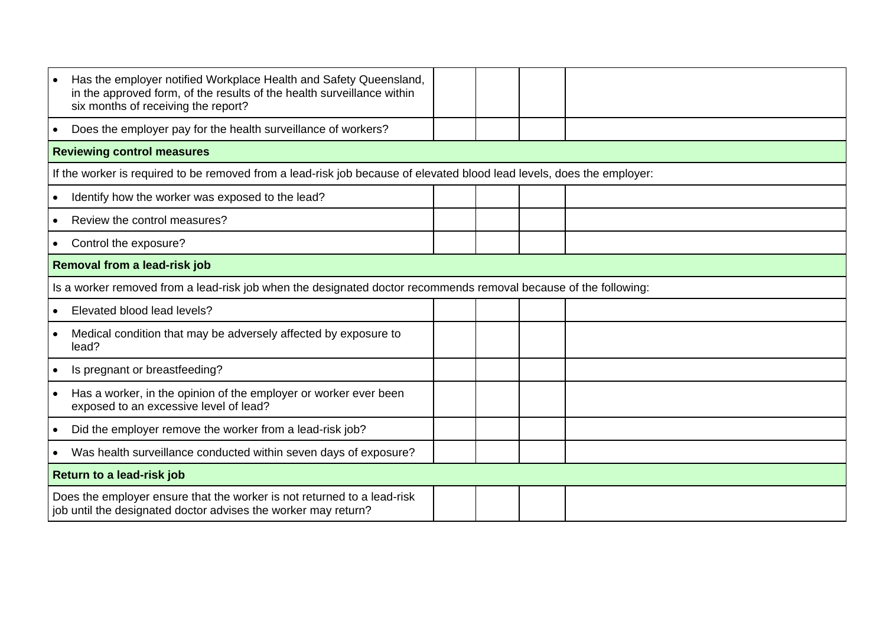| Has the employer notified Workplace Health and Safety Queensland,<br>in the approved form, of the results of the health surveillance within<br>six months of receiving the report? |  |  |  |  |  |
|------------------------------------------------------------------------------------------------------------------------------------------------------------------------------------|--|--|--|--|--|
| Does the employer pay for the health surveillance of workers?<br>$\bullet$                                                                                                         |  |  |  |  |  |
| <b>Reviewing control measures</b>                                                                                                                                                  |  |  |  |  |  |
| If the worker is required to be removed from a lead-risk job because of elevated blood lead levels, does the employer:                                                             |  |  |  |  |  |
| Identify how the worker was exposed to the lead?<br>$\bullet$                                                                                                                      |  |  |  |  |  |
| Review the control measures?<br>$\bullet$                                                                                                                                          |  |  |  |  |  |
| Control the exposure?<br>$\bullet$                                                                                                                                                 |  |  |  |  |  |
| Removal from a lead-risk job                                                                                                                                                       |  |  |  |  |  |
| Is a worker removed from a lead-risk job when the designated doctor recommends removal because of the following:                                                                   |  |  |  |  |  |
| Elevated blood lead levels?                                                                                                                                                        |  |  |  |  |  |
| Medical condition that may be adversely affected by exposure to<br>lead?                                                                                                           |  |  |  |  |  |
| Is pregnant or breastfeeding?                                                                                                                                                      |  |  |  |  |  |
| Has a worker, in the opinion of the employer or worker ever been<br>$\bullet$<br>exposed to an excessive level of lead?                                                            |  |  |  |  |  |
| Did the employer remove the worker from a lead-risk job?<br>$\bullet$                                                                                                              |  |  |  |  |  |
| Was health surveillance conducted within seven days of exposure?<br>$\bullet$                                                                                                      |  |  |  |  |  |
| Return to a lead-risk job                                                                                                                                                          |  |  |  |  |  |
| Does the employer ensure that the worker is not returned to a lead-risk<br>job until the designated doctor advises the worker may return?                                          |  |  |  |  |  |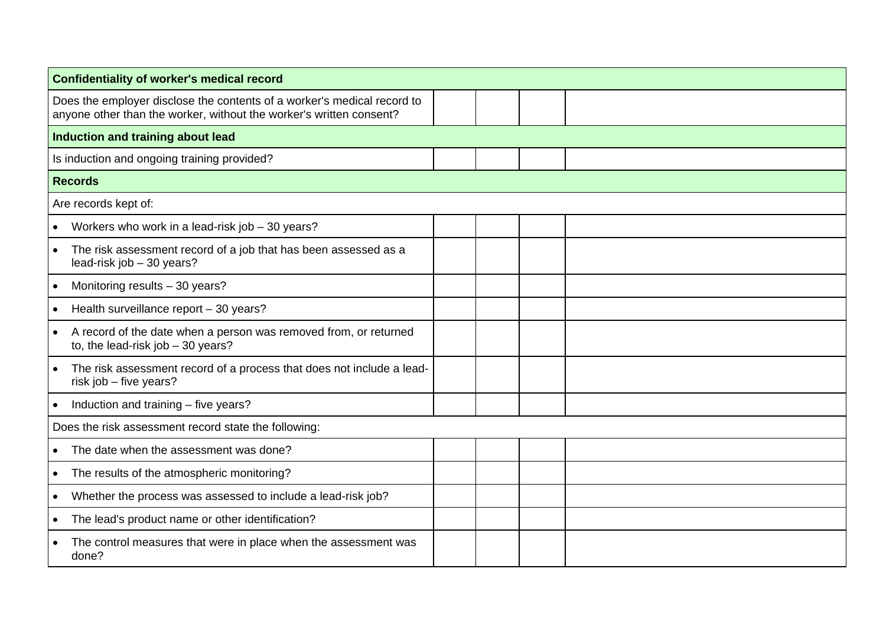| <b>Confidentiality of worker's medical record</b>                                                                                              |  |  |  |  |  |
|------------------------------------------------------------------------------------------------------------------------------------------------|--|--|--|--|--|
| Does the employer disclose the contents of a worker's medical record to<br>anyone other than the worker, without the worker's written consent? |  |  |  |  |  |
| Induction and training about lead                                                                                                              |  |  |  |  |  |
| Is induction and ongoing training provided?                                                                                                    |  |  |  |  |  |
| <b>Records</b>                                                                                                                                 |  |  |  |  |  |
| Are records kept of:                                                                                                                           |  |  |  |  |  |
| Workers who work in a lead-risk job - 30 years?<br>$\bullet$                                                                                   |  |  |  |  |  |
| The risk assessment record of a job that has been assessed as a<br>$\bullet$<br>lead-risk job - 30 years?                                      |  |  |  |  |  |
| Monitoring results - 30 years?<br>$\bullet$                                                                                                    |  |  |  |  |  |
| Health surveillance report - 30 years?<br>$\bullet$                                                                                            |  |  |  |  |  |
| A record of the date when a person was removed from, or returned<br>to, the lead-risk job - 30 years?                                          |  |  |  |  |  |
| The risk assessment record of a process that does not include a lead-<br>$\bullet$<br>risk job - five years?                                   |  |  |  |  |  |
| Induction and training - five years?<br>$\bullet$                                                                                              |  |  |  |  |  |
| Does the risk assessment record state the following:                                                                                           |  |  |  |  |  |
| The date when the assessment was done?<br>$\bullet$                                                                                            |  |  |  |  |  |
| The results of the atmospheric monitoring?<br>$\bullet$                                                                                        |  |  |  |  |  |
| Whether the process was assessed to include a lead-risk job?<br>$\bullet$                                                                      |  |  |  |  |  |
| The lead's product name or other identification?                                                                                               |  |  |  |  |  |
| The control measures that were in place when the assessment was<br>done?                                                                       |  |  |  |  |  |